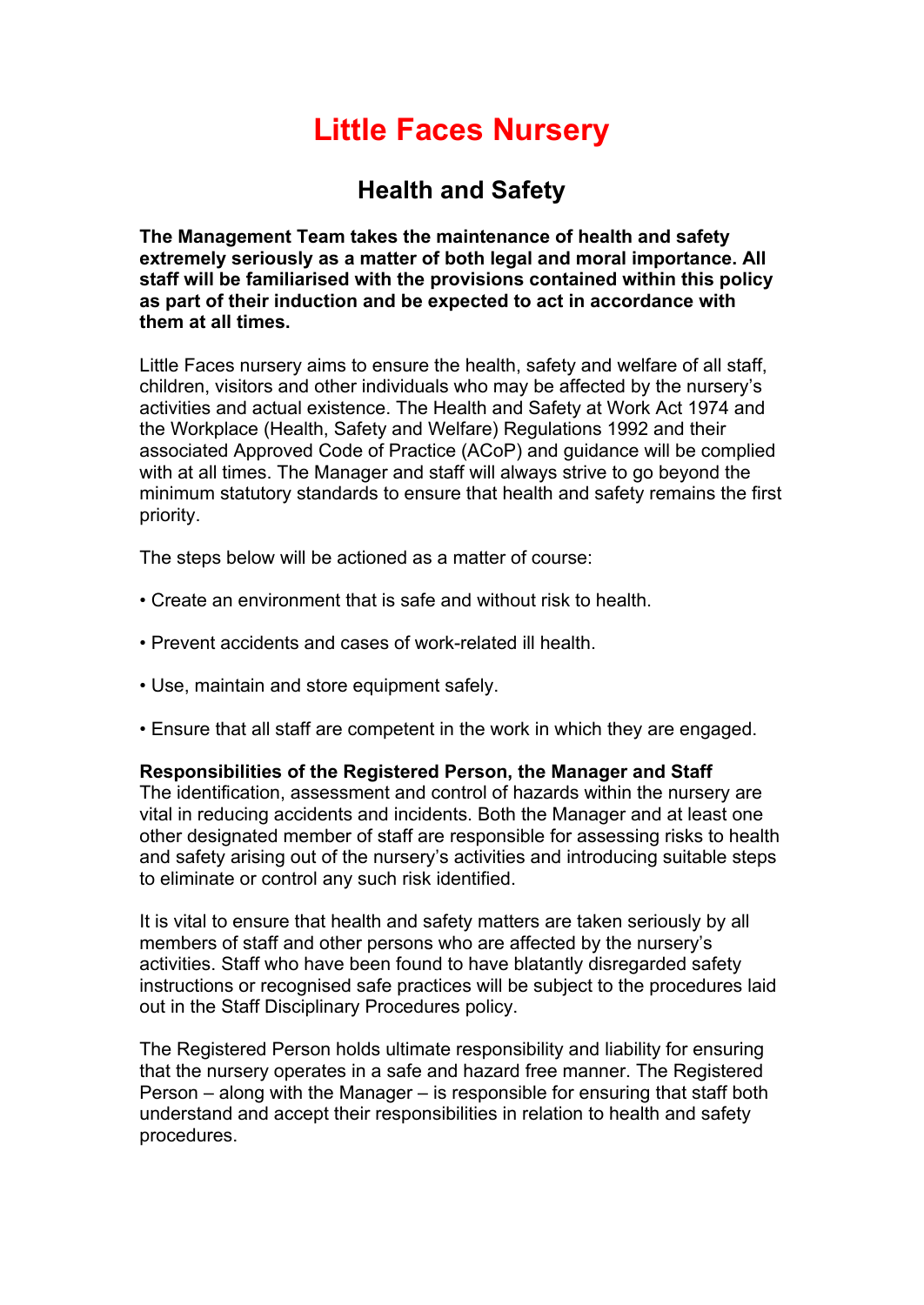# **Little Faces Nursery**

## **Health and Safety**

**The Management Team takes the maintenance of health and safety extremely seriously as a matter of both legal and moral importance. All staff will be familiarised with the provisions contained within this policy as part of their induction and be expected to act in accordance with them at all times.**

Little Faces nursery aims to ensure the health, safety and welfare of all staff, children, visitors and other individuals who may be affected by the nursery's activities and actual existence. The Health and Safety at Work Act 1974 and the Workplace (Health, Safety and Welfare) Regulations 1992 and their associated Approved Code of Practice (ACoP) and guidance will be complied with at all times. The Manager and staff will always strive to go beyond the minimum statutory standards to ensure that health and safety remains the first priority.

The steps below will be actioned as a matter of course:

- Create an environment that is safe and without risk to health.
- Prevent accidents and cases of work-related ill health.
- Use, maintain and store equipment safely.
- Ensure that all staff are competent in the work in which they are engaged.

#### **Responsibilities of the Registered Person, the Manager and Staff**

The identification, assessment and control of hazards within the nursery are vital in reducing accidents and incidents. Both the Manager and at least one other designated member of staff are responsible for assessing risks to health and safety arising out of the nursery's activities and introducing suitable steps to eliminate or control any such risk identified.

It is vital to ensure that health and safety matters are taken seriously by all members of staff and other persons who are affected by the nursery's activities. Staff who have been found to have blatantly disregarded safety instructions or recognised safe practices will be subject to the procedures laid out in the Staff Disciplinary Procedures policy.

The Registered Person holds ultimate responsibility and liability for ensuring that the nursery operates in a safe and hazard free manner. The Registered Person – along with the Manager – is responsible for ensuring that staff both understand and accept their responsibilities in relation to health and safety procedures.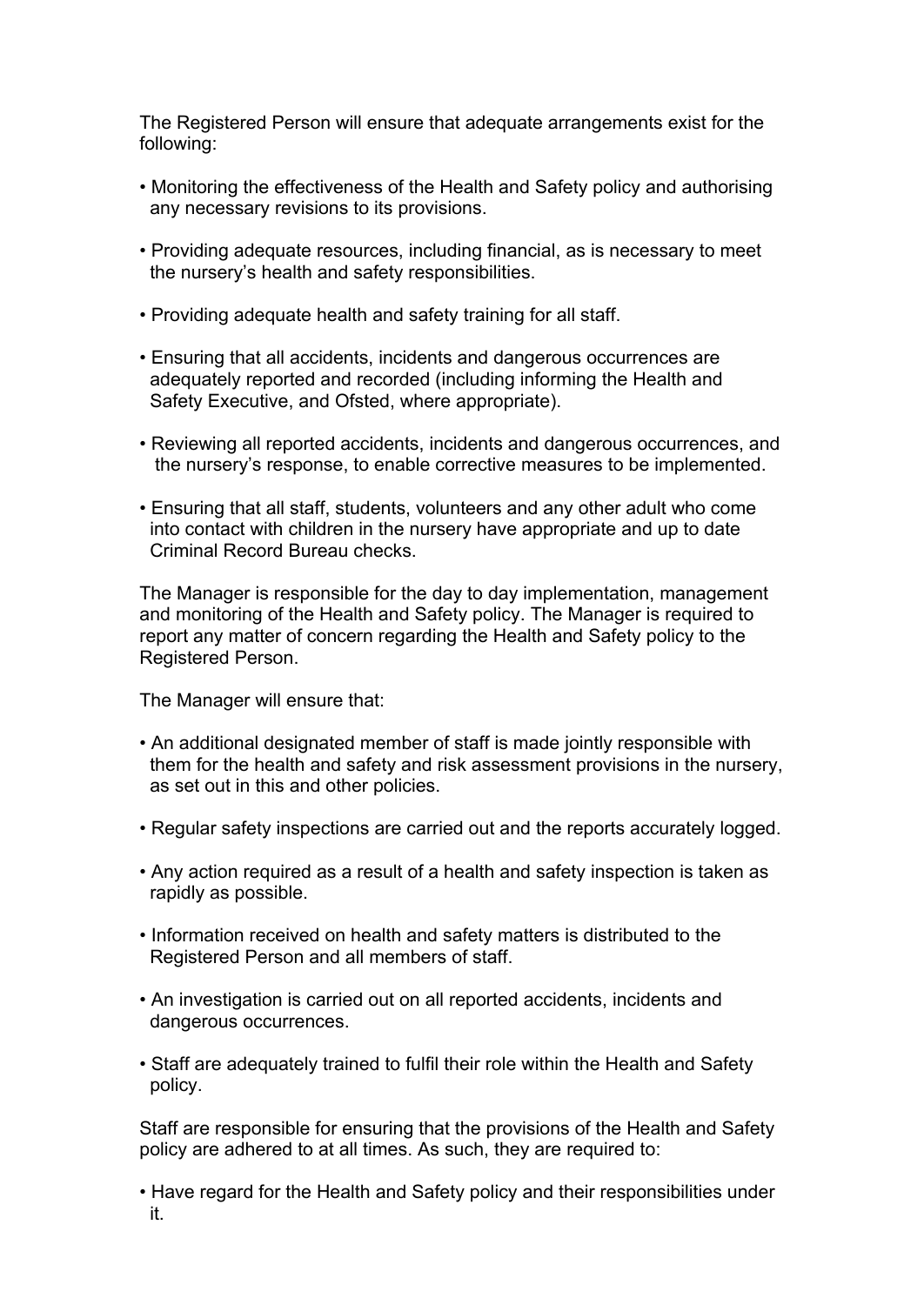The Registered Person will ensure that adequate arrangements exist for the following:

- Monitoring the effectiveness of the Health and Safety policy and authorising any necessary revisions to its provisions.
- Providing adequate resources, including financial, as is necessary to meet the nursery's health and safety responsibilities.
- Providing adequate health and safety training for all staff.
- Ensuring that all accidents, incidents and dangerous occurrences are adequately reported and recorded (including informing the Health and Safety Executive, and Ofsted, where appropriate).
- Reviewing all reported accidents, incidents and dangerous occurrences, and the nursery's response, to enable corrective measures to be implemented.
- Ensuring that all staff, students, volunteers and any other adult who come into contact with children in the nursery have appropriate and up to date Criminal Record Bureau checks.

The Manager is responsible for the day to day implementation, management and monitoring of the Health and Safety policy. The Manager is required to report any matter of concern regarding the Health and Safety policy to the Registered Person.

The Manager will ensure that:

- An additional designated member of staff is made jointly responsible with them for the health and safety and risk assessment provisions in the nursery, as set out in this and other policies.
- Regular safety inspections are carried out and the reports accurately logged.
- Any action required as a result of a health and safety inspection is taken as rapidly as possible.
- Information received on health and safety matters is distributed to the Registered Person and all members of staff.
- An investigation is carried out on all reported accidents, incidents and dangerous occurrences.
- Staff are adequately trained to fulfil their role within the Health and Safety policy.

Staff are responsible for ensuring that the provisions of the Health and Safety policy are adhered to at all times. As such, they are required to:

• Have regard for the Health and Safety policy and their responsibilities under it.